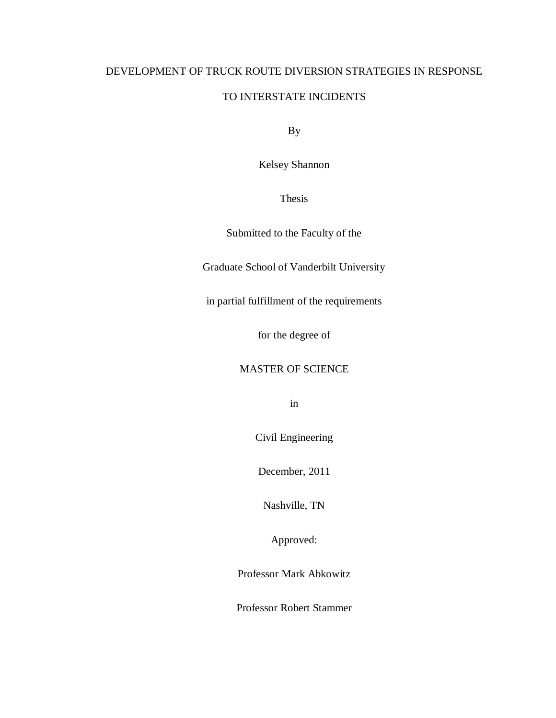## DEVELOPMENT OF TRUCK ROUTE DIVERSION STRATEGIES IN RESPONSE

## TO INTERSTATE INCIDENTS

By

Kelsey Shannon

Thesis

Submitted to the Faculty of the

Graduate School of Vanderbilt University

in partial fulfillment of the requirements

for the degree of

## MASTER OF SCIENCE

in

Civil Engineering

December, 2011

Nashville, TN

Approved:

Professor Mark Abkowitz

Professor Robert Stammer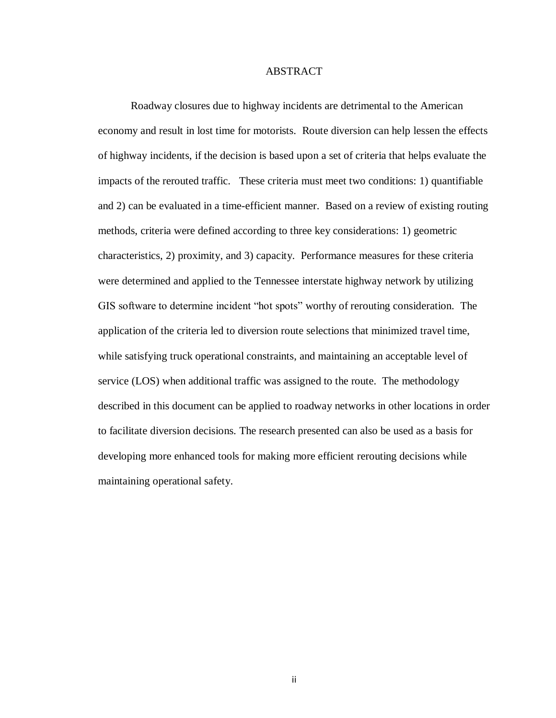### ABSTRACT

Roadway closures due to highway incidents are detrimental to the American economy and result in lost time for motorists. Route diversion can help lessen the effects of highway incidents, if the decision is based upon a set of criteria that helps evaluate the impacts of the rerouted traffic. These criteria must meet two conditions: 1) quantifiable and 2) can be evaluated in a time-efficient manner. Based on a review of existing routing methods, criteria were defined according to three key considerations: 1) geometric characteristics, 2) proximity, and 3) capacity. Performance measures for these criteria were determined and applied to the Tennessee interstate highway network by utilizing GIS software to determine incident "hot spots" worthy of rerouting consideration. The application of the criteria led to diversion route selections that minimized travel time, while satisfying truck operational constraints, and maintaining an acceptable level of service (LOS) when additional traffic was assigned to the route. The methodology described in this document can be applied to roadway networks in other locations in order to facilitate diversion decisions. The research presented can also be used as a basis for developing more enhanced tools for making more efficient rerouting decisions while maintaining operational safety.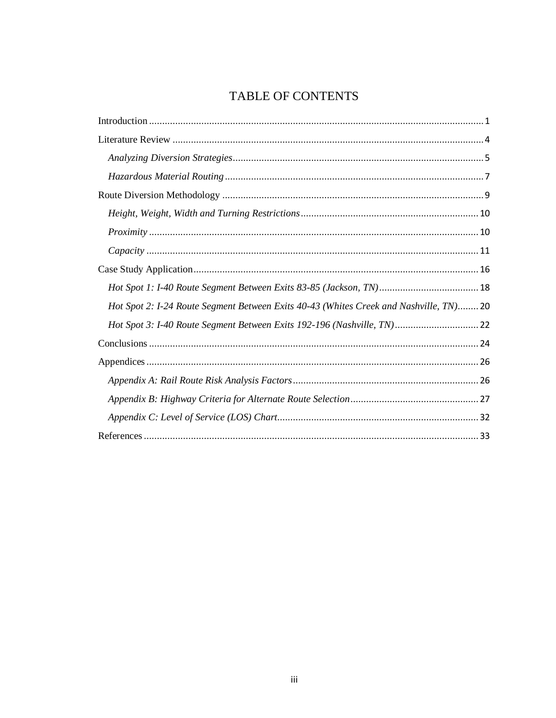## TABLE OF CONTENTS

| Hot Spot 2: I-24 Route Segment Between Exits 40-43 (Whites Creek and Nashville, TN) 20 |
|----------------------------------------------------------------------------------------|
| Hot Spot 3: I-40 Route Segment Between Exits 192-196 (Nashville, TN) 22                |
|                                                                                        |
|                                                                                        |
|                                                                                        |
|                                                                                        |
|                                                                                        |
|                                                                                        |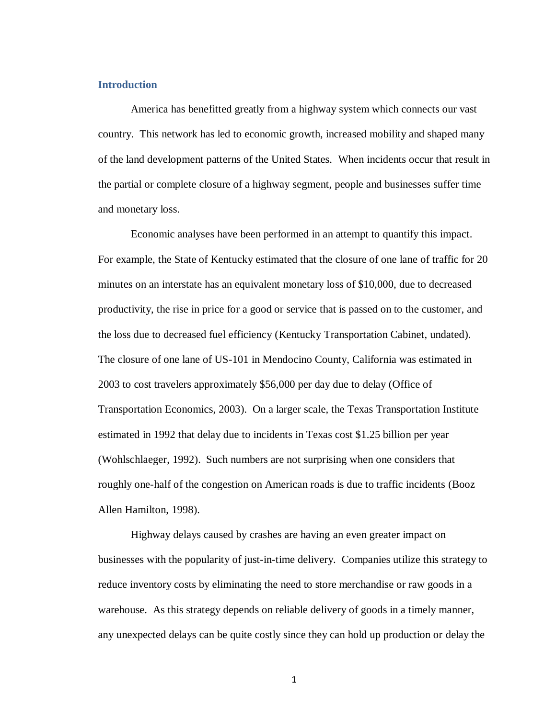## **Introduction**

America has benefitted greatly from a highway system which connects our vast country. This network has led to economic growth, increased mobility and shaped many of the land development patterns of the United States. When incidents occur that result in the partial or complete closure of a highway segment, people and businesses suffer time and monetary loss.

Economic analyses have been performed in an attempt to quantify this impact. For example, the State of Kentucky estimated that the closure of one lane of traffic for 20 minutes on an interstate has an equivalent monetary loss of \$10,000, due to decreased productivity, the rise in price for a good or service that is passed on to the customer, and the loss due to decreased fuel efficiency (Kentucky Transportation Cabinet, undated). The closure of one lane of US-101 in Mendocino County, California was estimated in 2003 to cost travelers approximately \$56,000 per day due to delay (Office of Transportation Economics, 2003). On a larger scale, the Texas Transportation Institute estimated in 1992 that delay due to incidents in Texas cost \$1.25 billion per year (Wohlschlaeger, 1992). Such numbers are not surprising when one considers that roughly one-half of the congestion on American roads is due to traffic incidents (Booz Allen Hamilton, 1998).

Highway delays caused by crashes are having an even greater impact on businesses with the popularity of just-in-time delivery. Companies utilize this strategy to reduce inventory costs by eliminating the need to store merchandise or raw goods in a warehouse. As this strategy depends on reliable delivery of goods in a timely manner, any unexpected delays can be quite costly since they can hold up production or delay the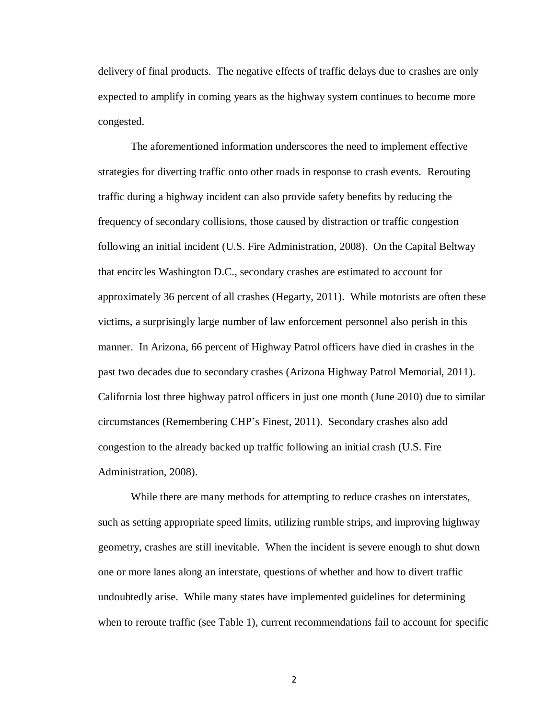delivery of final products. The negative effects of traffic delays due to crashes are only expected to amplify in coming years as the highway system continues to become more congested.

The aforementioned information underscores the need to implement effective strategies for diverting traffic onto other roads in response to crash events. Rerouting traffic during a highway incident can also provide safety benefits by reducing the frequency of secondary collisions, those caused by distraction or traffic congestion following an initial incident (U.S. Fire Administration, 2008). On the Capital Beltway that encircles Washington D.C., secondary crashes are estimated to account for approximately 36 percent of all crashes (Hegarty, 2011). While motorists are often these victims, a surprisingly large number of law enforcement personnel also perish in this manner. In Arizona, 66 percent of Highway Patrol officers have died in crashes in the past two decades due to secondary crashes (Arizona Highway Patrol Memorial, 2011). California lost three highway patrol officers in just one month (June 2010) due to similar circumstances (Remembering CHP's Finest, 2011). Secondary crashes also add congestion to the already backed up traffic following an initial crash (U.S. Fire Administration, 2008).

While there are many methods for attempting to reduce crashes on interstates, such as setting appropriate speed limits, utilizing rumble strips, and improving highway geometry, crashes are still inevitable. When the incident is severe enough to shut down one or more lanes along an interstate, questions of whether and how to divert traffic undoubtedly arise. While many states have implemented guidelines for determining when to reroute traffic (see Table 1), current recommendations fail to account for specific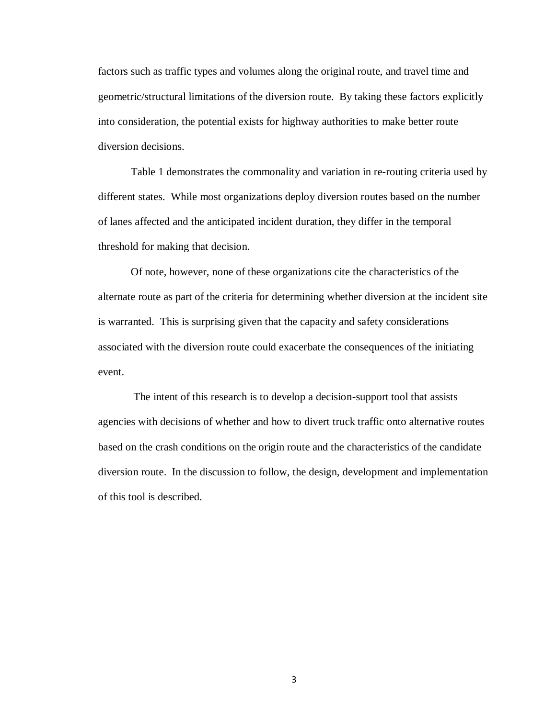factors such as traffic types and volumes along the original route, and travel time and geometric/structural limitations of the diversion route. By taking these factors explicitly into consideration, the potential exists for highway authorities to make better route diversion decisions.

Table 1 demonstrates the commonality and variation in re-routing criteria used by different states. While most organizations deploy diversion routes based on the number of lanes affected and the anticipated incident duration, they differ in the temporal threshold for making that decision.

Of note, however, none of these organizations cite the characteristics of the alternate route as part of the criteria for determining whether diversion at the incident site is warranted. This is surprising given that the capacity and safety considerations associated with the diversion route could exacerbate the consequences of the initiating event.

The intent of this research is to develop a decision-support tool that assists agencies with decisions of whether and how to divert truck traffic onto alternative routes based on the crash conditions on the origin route and the characteristics of the candidate diversion route. In the discussion to follow, the design, development and implementation of this tool is described.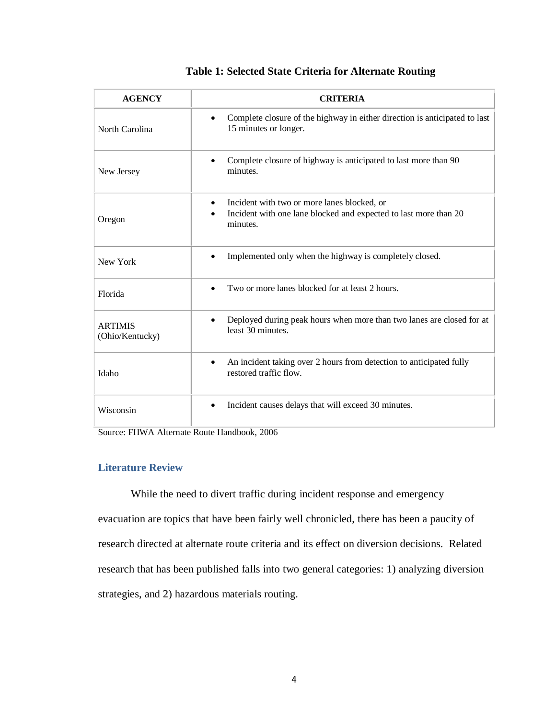| <b>AGENCY</b>                     | <b>CRITERIA</b>                                                                                            |
|-----------------------------------|------------------------------------------------------------------------------------------------------------|
| North Carolina                    | Complete closure of the highway in either direction is anticipated to last<br>٠<br>15 minutes or longer.   |
| New Jersey                        | Complete closure of highway is anticipated to last more than 90<br>minutes.                                |
|                                   | Incident with two or more lanes blocked, or                                                                |
| Oregon                            | Incident with one lane blocked and expected to last more than 20<br>minutes.                               |
| New York                          | Implemented only when the highway is completely closed.                                                    |
| Florida                           | Two or more lanes blocked for at least 2 hours.                                                            |
| <b>ARTIMIS</b><br>(Ohio/Kentucky) | Deployed during peak hours when more than two lanes are closed for at<br>least 30 minutes.                 |
| Idaho                             | An incident taking over 2 hours from detection to anticipated fully<br>$\bullet$<br>restored traffic flow. |
| Wisconsin                         | Incident causes delays that will exceed 30 minutes.                                                        |

## **Table 1: Selected State Criteria for Alternate Routing**

Source: FHWA Alternate Route Handbook, 2006

## **Literature Review**

While the need to divert traffic during incident response and emergency evacuation are topics that have been fairly well chronicled, there has been a paucity of research directed at alternate route criteria and its effect on diversion decisions. Related research that has been published falls into two general categories: 1) analyzing diversion strategies, and 2) hazardous materials routing.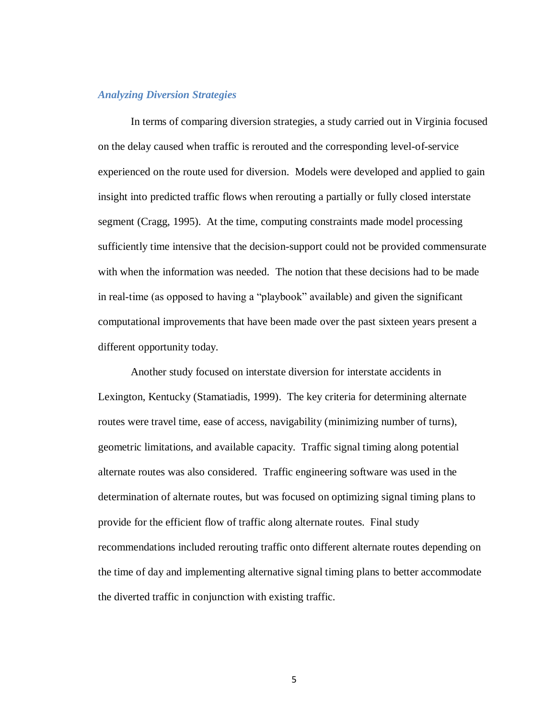#### *Analyzing Diversion Strategies*

In terms of comparing diversion strategies, a study carried out in Virginia focused on the delay caused when traffic is rerouted and the corresponding level-of-service experienced on the route used for diversion. Models were developed and applied to gain insight into predicted traffic flows when rerouting a partially or fully closed interstate segment (Cragg, 1995). At the time, computing constraints made model processing sufficiently time intensive that the decision-support could not be provided commensurate with when the information was needed. The notion that these decisions had to be made in real-time (as opposed to having a "playbook" available) and given the significant computational improvements that have been made over the past sixteen years present a different opportunity today.

Another study focused on interstate diversion for interstate accidents in Lexington, Kentucky (Stamatiadis, 1999). The key criteria for determining alternate routes were travel time, ease of access, navigability (minimizing number of turns), geometric limitations, and available capacity. Traffic signal timing along potential alternate routes was also considered. Traffic engineering software was used in the determination of alternate routes, but was focused on optimizing signal timing plans to provide for the efficient flow of traffic along alternate routes. Final study recommendations included rerouting traffic onto different alternate routes depending on the time of day and implementing alternative signal timing plans to better accommodate the diverted traffic in conjunction with existing traffic.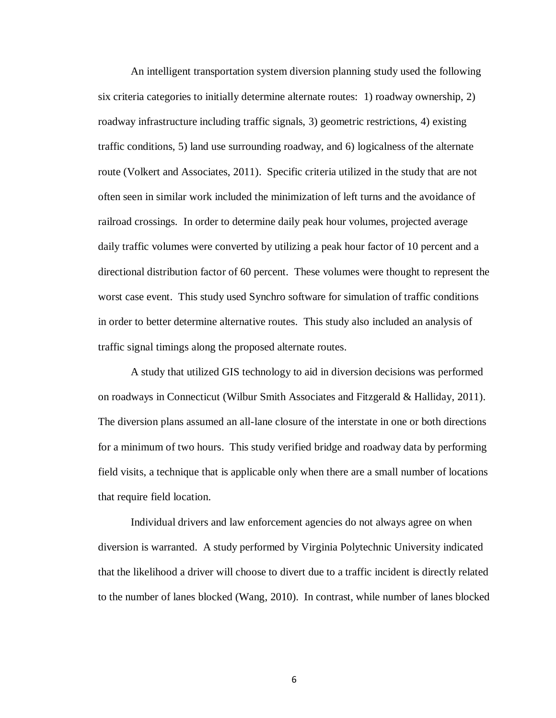An intelligent transportation system diversion planning study used the following six criteria categories to initially determine alternate routes: 1) roadway ownership, 2) roadway infrastructure including traffic signals, 3) geometric restrictions, 4) existing traffic conditions, 5) land use surrounding roadway, and 6) logicalness of the alternate route (Volkert and Associates, 2011). Specific criteria utilized in the study that are not often seen in similar work included the minimization of left turns and the avoidance of railroad crossings. In order to determine daily peak hour volumes, projected average daily traffic volumes were converted by utilizing a peak hour factor of 10 percent and a directional distribution factor of 60 percent. These volumes were thought to represent the worst case event. This study used Synchro software for simulation of traffic conditions in order to better determine alternative routes. This study also included an analysis of traffic signal timings along the proposed alternate routes.

A study that utilized GIS technology to aid in diversion decisions was performed on roadways in Connecticut (Wilbur Smith Associates and Fitzgerald & Halliday, 2011). The diversion plans assumed an all-lane closure of the interstate in one or both directions for a minimum of two hours. This study verified bridge and roadway data by performing field visits, a technique that is applicable only when there are a small number of locations that require field location.

Individual drivers and law enforcement agencies do not always agree on when diversion is warranted. A study performed by Virginia Polytechnic University indicated that the likelihood a driver will choose to divert due to a traffic incident is directly related to the number of lanes blocked (Wang, 2010). In contrast, while number of lanes blocked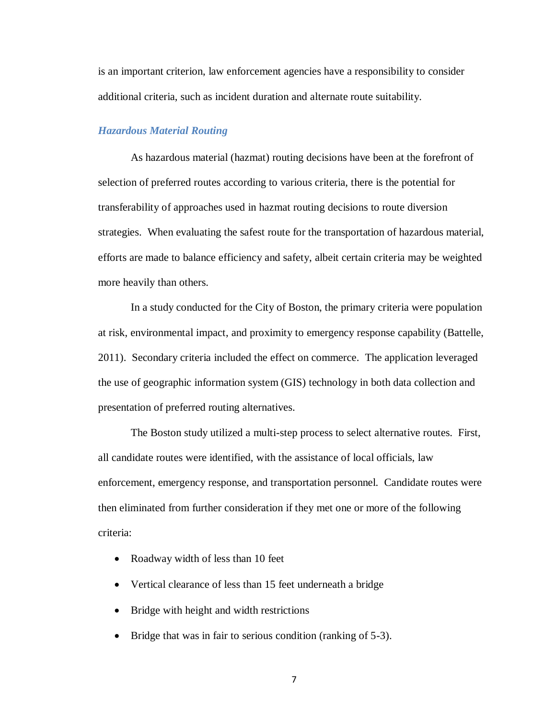is an important criterion, law enforcement agencies have a responsibility to consider additional criteria, such as incident duration and alternate route suitability.

#### *Hazardous Material Routing*

As hazardous material (hazmat) routing decisions have been at the forefront of selection of preferred routes according to various criteria, there is the potential for transferability of approaches used in hazmat routing decisions to route diversion strategies. When evaluating the safest route for the transportation of hazardous material, efforts are made to balance efficiency and safety, albeit certain criteria may be weighted more heavily than others.

In a study conducted for the City of Boston, the primary criteria were population at risk, environmental impact, and proximity to emergency response capability (Battelle, 2011). Secondary criteria included the effect on commerce. The application leveraged the use of geographic information system (GIS) technology in both data collection and presentation of preferred routing alternatives.

The Boston study utilized a multi-step process to select alternative routes. First, all candidate routes were identified, with the assistance of local officials, law enforcement, emergency response, and transportation personnel. Candidate routes were then eliminated from further consideration if they met one or more of the following criteria:

- Roadway width of less than 10 feet
- Vertical clearance of less than 15 feet underneath a bridge
- Bridge with height and width restrictions
- Bridge that was in fair to serious condition (ranking of 5-3).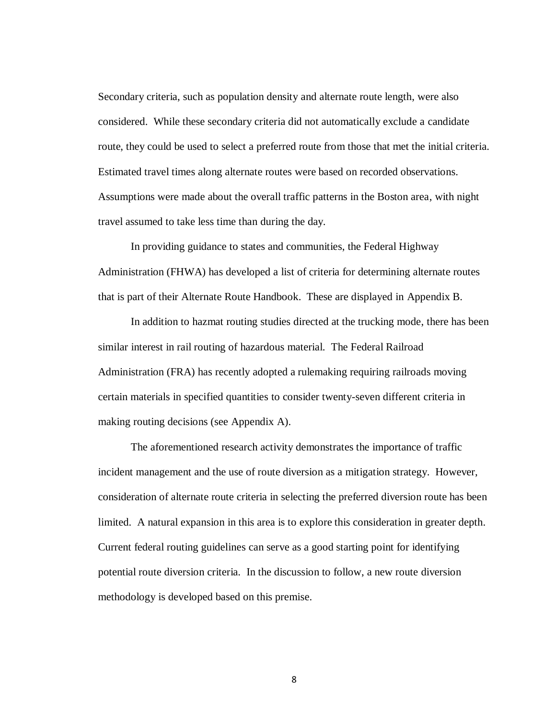Secondary criteria, such as population density and alternate route length, were also considered. While these secondary criteria did not automatically exclude a candidate route, they could be used to select a preferred route from those that met the initial criteria. Estimated travel times along alternate routes were based on recorded observations. Assumptions were made about the overall traffic patterns in the Boston area, with night travel assumed to take less time than during the day.

In providing guidance to states and communities, the Federal Highway Administration (FHWA) has developed a list of criteria for determining alternate routes that is part of their Alternate Route Handbook. These are displayed in Appendix B.

In addition to hazmat routing studies directed at the trucking mode, there has been similar interest in rail routing of hazardous material. The Federal Railroad Administration (FRA) has recently adopted a rulemaking requiring railroads moving certain materials in specified quantities to consider twenty-seven different criteria in making routing decisions (see Appendix A).

The aforementioned research activity demonstrates the importance of traffic incident management and the use of route diversion as a mitigation strategy. However, consideration of alternate route criteria in selecting the preferred diversion route has been limited. A natural expansion in this area is to explore this consideration in greater depth. Current federal routing guidelines can serve as a good starting point for identifying potential route diversion criteria. In the discussion to follow, a new route diversion methodology is developed based on this premise.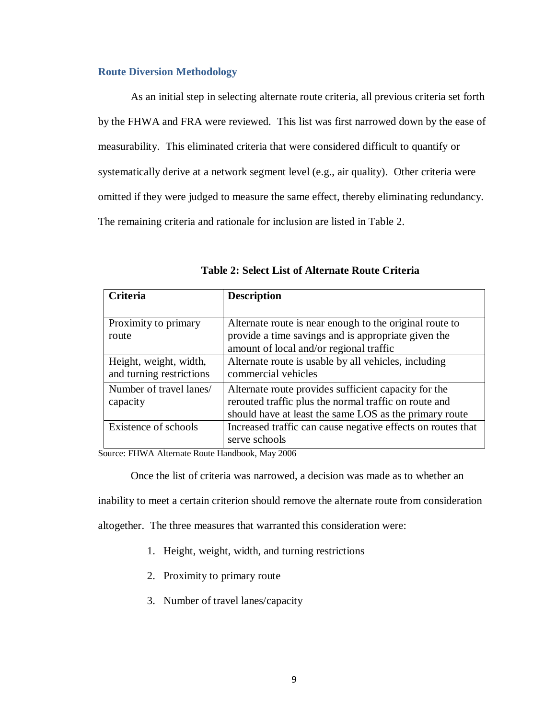#### **Route Diversion Methodology**

As an initial step in selecting alternate route criteria, all previous criteria set forth by the FHWA and FRA were reviewed. This list was first narrowed down by the ease of measurability. This eliminated criteria that were considered difficult to quantify or systematically derive at a network segment level (e.g., air quality). Other criteria were omitted if they were judged to measure the same effect, thereby eliminating redundancy. The remaining criteria and rationale for inclusion are listed in Table 2.

| Criteria                                           | <b>Description</b>                                                                                                                                                      |
|----------------------------------------------------|-------------------------------------------------------------------------------------------------------------------------------------------------------------------------|
| Proximity to primary<br>route                      | Alternate route is near enough to the original route to<br>provide a time savings and is appropriate given the<br>amount of local and/or regional traffic               |
| Height, weight, width,<br>and turning restrictions | Alternate route is usable by all vehicles, including<br>commercial vehicles                                                                                             |
| Number of travel lanes/<br>capacity                | Alternate route provides sufficient capacity for the<br>rerouted traffic plus the normal traffic on route and<br>should have at least the same LOS as the primary route |
| Existence of schools                               | Increased traffic can cause negative effects on routes that<br>serve schools                                                                                            |

|  |  | Table 2: Select List of Alternate Route Criteria |  |  |
|--|--|--------------------------------------------------|--|--|
|--|--|--------------------------------------------------|--|--|

Source: FHWA Alternate Route Handbook, May 2006

Once the list of criteria was narrowed, a decision was made as to whether an

inability to meet a certain criterion should remove the alternate route from consideration

altogether. The three measures that warranted this consideration were:

- 1. Height, weight, width, and turning restrictions
- 2. Proximity to primary route
- 3. Number of travel lanes/capacity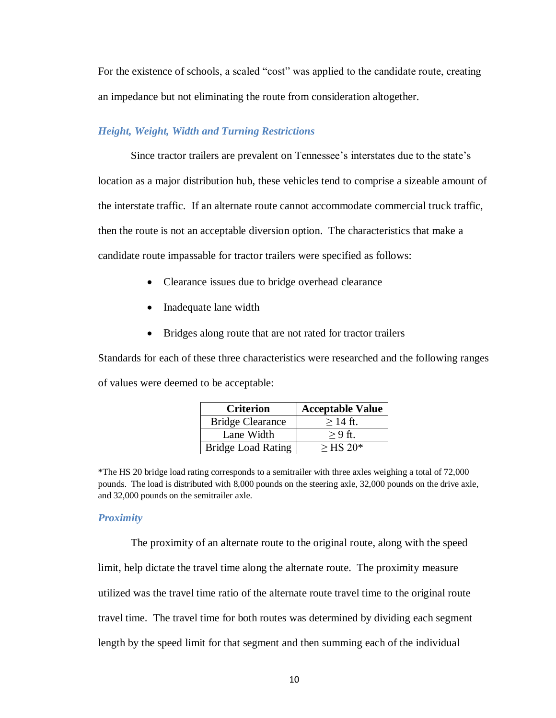For the existence of schools, a scaled "cost" was applied to the candidate route, creating an impedance but not eliminating the route from consideration altogether.

### *Height, Weight, Width and Turning Restrictions*

Since tractor trailers are prevalent on Tennessee's interstates due to the state's location as a major distribution hub, these vehicles tend to comprise a sizeable amount of the interstate traffic. If an alternate route cannot accommodate commercial truck traffic, then the route is not an acceptable diversion option. The characteristics that make a candidate route impassable for tractor trailers were specified as follows:

- Clearance issues due to bridge overhead clearance
- Inadequate lane width
- Bridges along route that are not rated for tractor trailers

Standards for each of these three characteristics were researched and the following ranges of values were deemed to be acceptable:

| <b>Criterion</b>          | <b>Acceptable Value</b> |
|---------------------------|-------------------------|
| <b>Bridge Clearance</b>   | $>14$ ft.               |
| Lane Width                | $> 9$ ft.               |
| <b>Bridge Load Rating</b> | $>$ HS 20 <sup>*</sup>  |

<sup>\*</sup>The HS 20 bridge load rating corresponds to a semitrailer with three axles weighing a total of 72,000 pounds. The load is distributed with 8,000 pounds on the steering axle, 32,000 pounds on the drive axle, and 32,000 pounds on the semitrailer axle.

#### *Proximity*

The proximity of an alternate route to the original route, along with the speed limit, help dictate the travel time along the alternate route. The proximity measure utilized was the travel time ratio of the alternate route travel time to the original route travel time. The travel time for both routes was determined by dividing each segment length by the speed limit for that segment and then summing each of the individual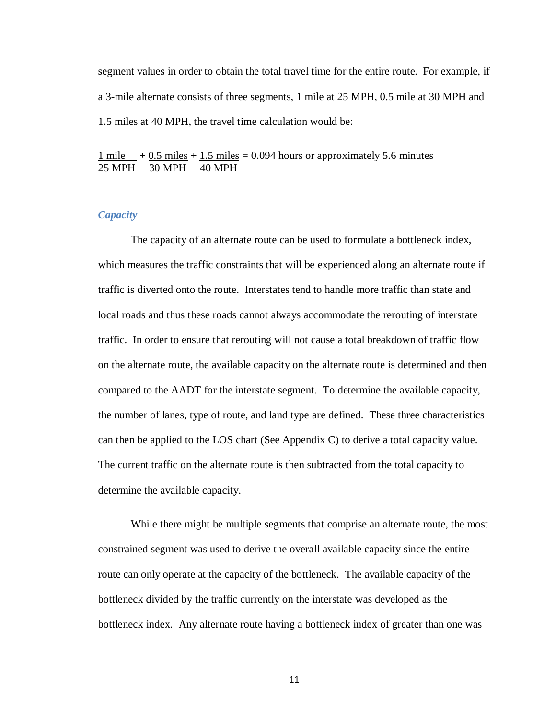segment values in order to obtain the total travel time for the entire route. For example, if a 3-mile alternate consists of three segments, 1 mile at 25 MPH, 0.5 mile at 30 MPH and 1.5 miles at 40 MPH, the travel time calculation would be:

1 mile  $+0.5$  miles  $+1.5$  miles  $= 0.094$  hours or approximately 5.6 minutes 25 MPH 30 MPH 40 MPH

## *Capacity*

The capacity of an alternate route can be used to formulate a bottleneck index, which measures the traffic constraints that will be experienced along an alternate route if traffic is diverted onto the route. Interstates tend to handle more traffic than state and local roads and thus these roads cannot always accommodate the rerouting of interstate traffic. In order to ensure that rerouting will not cause a total breakdown of traffic flow on the alternate route, the available capacity on the alternate route is determined and then compared to the AADT for the interstate segment. To determine the available capacity, the number of lanes, type of route, and land type are defined. These three characteristics can then be applied to the LOS chart (See Appendix C) to derive a total capacity value. The current traffic on the alternate route is then subtracted from the total capacity to determine the available capacity.

While there might be multiple segments that comprise an alternate route, the most constrained segment was used to derive the overall available capacity since the entire route can only operate at the capacity of the bottleneck. The available capacity of the bottleneck divided by the traffic currently on the interstate was developed as the bottleneck index. Any alternate route having a bottleneck index of greater than one was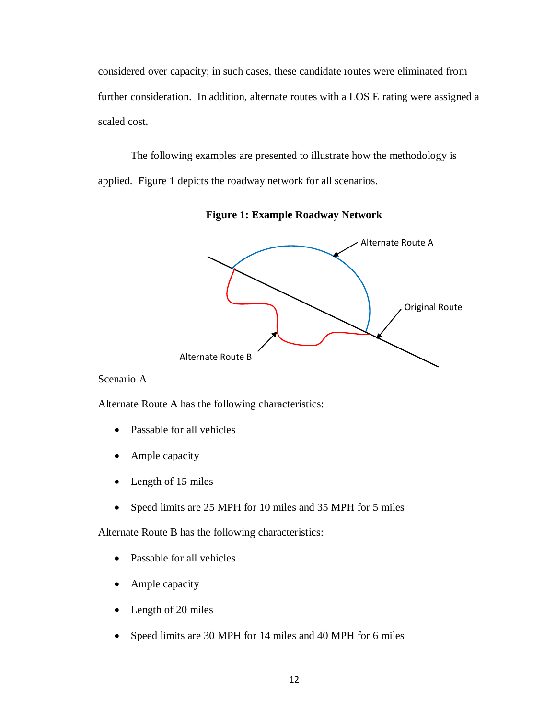considered over capacity; in such cases, these candidate routes were eliminated from further consideration. In addition, alternate routes with a LOS E rating were assigned a scaled cost.

The following examples are presented to illustrate how the methodology is applied. Figure 1 depicts the roadway network for all scenarios.



**Figure 1: Example Roadway Network** 

## Scenario A

Alternate Route A has the following characteristics:

- Passable for all vehicles
- Ample capacity
- Length of 15 miles
- Speed limits are 25 MPH for 10 miles and 35 MPH for 5 miles

Alternate Route B has the following characteristics:

- Passable for all vehicles
- Ample capacity
- Length of 20 miles
- Speed limits are 30 MPH for 14 miles and 40 MPH for 6 miles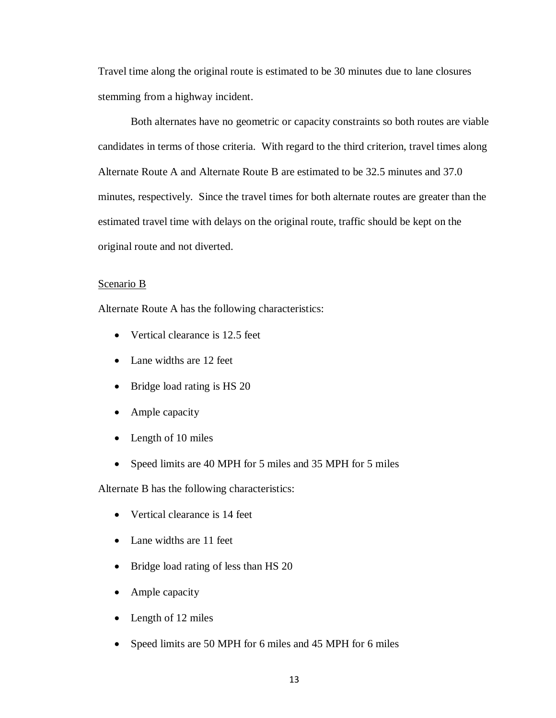Travel time along the original route is estimated to be 30 minutes due to lane closures stemming from a highway incident.

Both alternates have no geometric or capacity constraints so both routes are viable candidates in terms of those criteria. With regard to the third criterion, travel times along Alternate Route A and Alternate Route B are estimated to be 32.5 minutes and 37.0 minutes, respectively. Since the travel times for both alternate routes are greater than the estimated travel time with delays on the original route, traffic should be kept on the original route and not diverted.

## Scenario B

Alternate Route A has the following characteristics:

- Vertical clearance is 12.5 feet
- Lane widths are 12 feet
- Bridge load rating is HS 20
- Ample capacity
- Length of 10 miles
- Speed limits are 40 MPH for 5 miles and 35 MPH for 5 miles

Alternate B has the following characteristics:

- Vertical clearance is 14 feet
- Lane widths are 11 feet
- Bridge load rating of less than HS 20
- Ample capacity
- Length of 12 miles
- Speed limits are 50 MPH for 6 miles and 45 MPH for 6 miles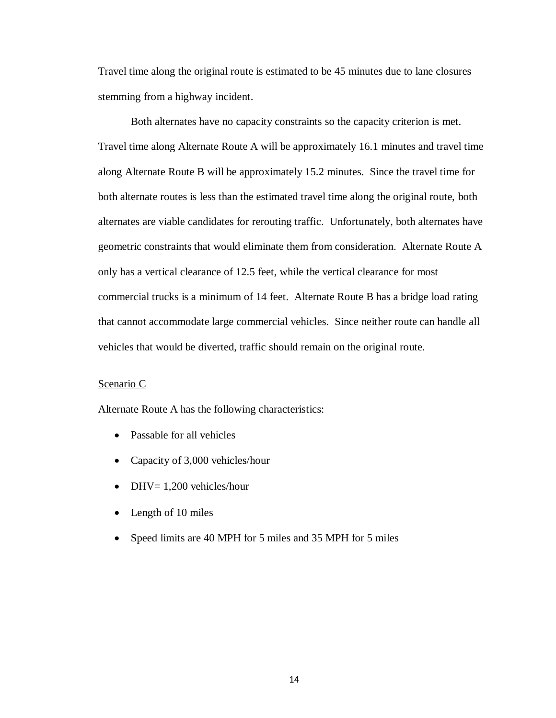Travel time along the original route is estimated to be 45 minutes due to lane closures stemming from a highway incident.

Both alternates have no capacity constraints so the capacity criterion is met. Travel time along Alternate Route A will be approximately 16.1 minutes and travel time along Alternate Route B will be approximately 15.2 minutes. Since the travel time for both alternate routes is less than the estimated travel time along the original route, both alternates are viable candidates for rerouting traffic. Unfortunately, both alternates have geometric constraints that would eliminate them from consideration. Alternate Route A only has a vertical clearance of 12.5 feet, while the vertical clearance for most commercial trucks is a minimum of 14 feet. Alternate Route B has a bridge load rating that cannot accommodate large commercial vehicles. Since neither route can handle all vehicles that would be diverted, traffic should remain on the original route.

#### Scenario C

Alternate Route A has the following characteristics:

- Passable for all vehicles
- Capacity of 3,000 vehicles/hour
- $\bullet$  DHV= 1,200 vehicles/hour
- Length of 10 miles
- Speed limits are 40 MPH for 5 miles and 35 MPH for 5 miles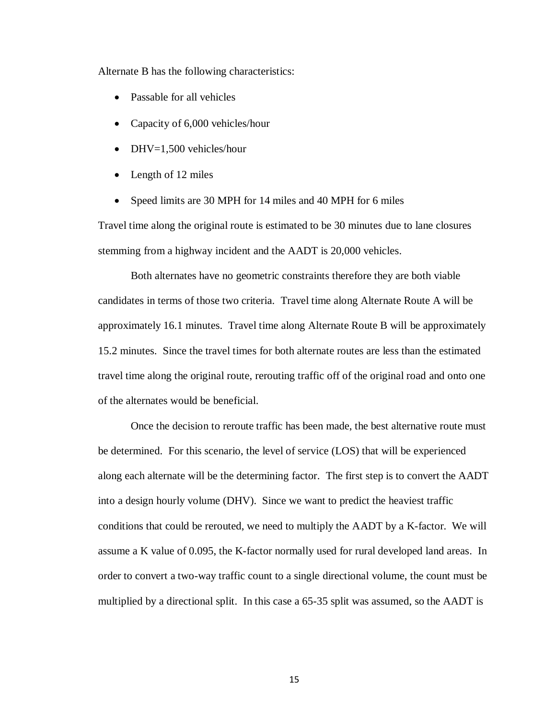Alternate B has the following characteristics:

- Passable for all vehicles
- Capacity of 6,000 vehicles/hour
- DHV=1,500 vehicles/hour
- Length of 12 miles
- Speed limits are 30 MPH for 14 miles and 40 MPH for 6 miles

Travel time along the original route is estimated to be 30 minutes due to lane closures stemming from a highway incident and the AADT is 20,000 vehicles.

Both alternates have no geometric constraints therefore they are both viable candidates in terms of those two criteria. Travel time along Alternate Route A will be approximately 16.1 minutes. Travel time along Alternate Route B will be approximately 15.2 minutes. Since the travel times for both alternate routes are less than the estimated travel time along the original route, rerouting traffic off of the original road and onto one of the alternates would be beneficial.

Once the decision to reroute traffic has been made, the best alternative route must be determined. For this scenario, the level of service (LOS) that will be experienced along each alternate will be the determining factor. The first step is to convert the AADT into a design hourly volume (DHV). Since we want to predict the heaviest traffic conditions that could be rerouted, we need to multiply the AADT by a K-factor. We will assume a K value of 0.095, the K-factor normally used for rural developed land areas. In order to convert a two-way traffic count to a single directional volume, the count must be multiplied by a directional split. In this case a 65-35 split was assumed, so the AADT is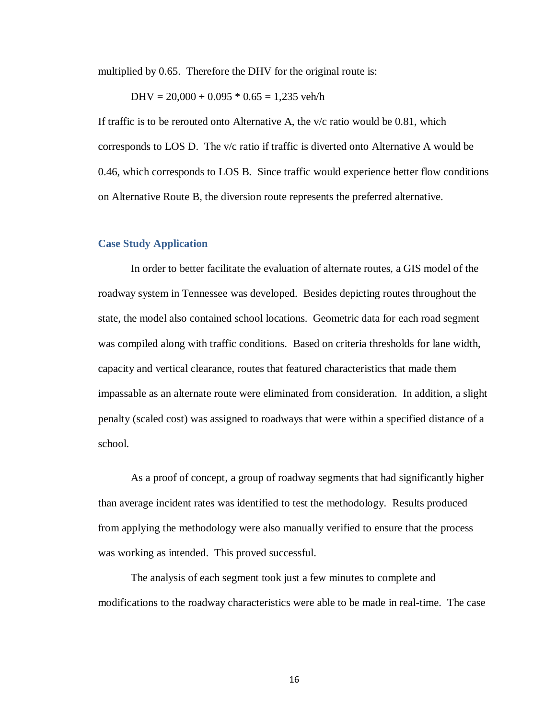multiplied by 0.65. Therefore the DHV for the original route is:

 $DHV = 20,000 + 0.095 * 0.65 = 1,235$  veh/h

If traffic is to be rerouted onto Alternative A, the v/c ratio would be 0.81, which corresponds to LOS D. The v/c ratio if traffic is diverted onto Alternative A would be 0.46, which corresponds to LOS B. Since traffic would experience better flow conditions on Alternative Route B, the diversion route represents the preferred alternative.

#### **Case Study Application**

In order to better facilitate the evaluation of alternate routes, a GIS model of the roadway system in Tennessee was developed. Besides depicting routes throughout the state, the model also contained school locations. Geometric data for each road segment was compiled along with traffic conditions. Based on criteria thresholds for lane width, capacity and vertical clearance, routes that featured characteristics that made them impassable as an alternate route were eliminated from consideration. In addition, a slight penalty (scaled cost) was assigned to roadways that were within a specified distance of a school.

As a proof of concept, a group of roadway segments that had significantly higher than average incident rates was identified to test the methodology. Results produced from applying the methodology were also manually verified to ensure that the process was working as intended. This proved successful.

The analysis of each segment took just a few minutes to complete and modifications to the roadway characteristics were able to be made in real-time. The case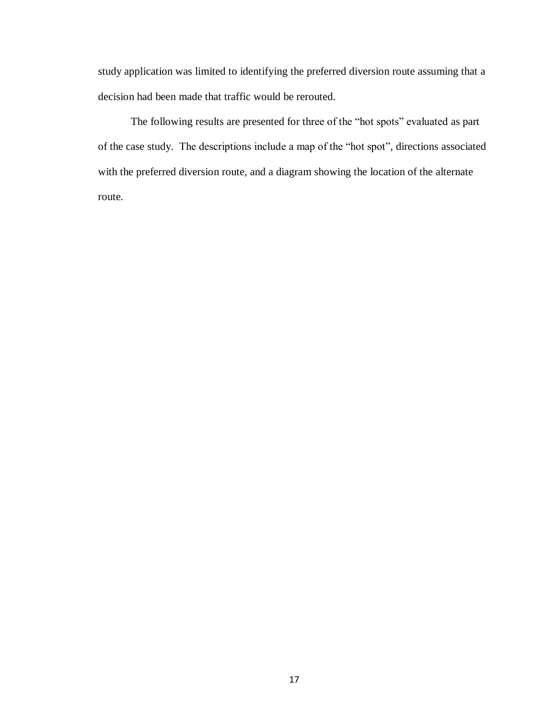study application was limited to identifying the preferred diversion route assuming that a decision had been made that traffic would be rerouted.

The following results are presented for three of the "hot spots" evaluated as part of the case study. The descriptions include a map of the "hot spot", directions associated with the preferred diversion route, and a diagram showing the location of the alternate route.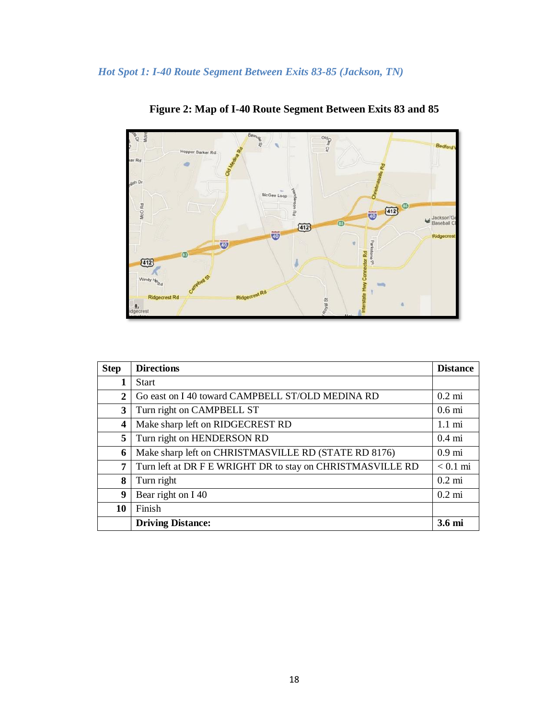

**Figure 2: Map of I-40 Route Segment Between Exits 83 and 85**

| <b>Step</b> | <b>Directions</b>                                          | <b>Distance</b>    |
|-------------|------------------------------------------------------------|--------------------|
| 1           | <b>Start</b>                                               |                    |
| 2           | Go east on I 40 toward CAMPBELL ST/OLD MEDINA RD           | $0.2 \text{ mi}$   |
| 3           | Turn right on CAMPBELL ST                                  | 0.6 <sub>mi</sub>  |
| 4           | Make sharp left on RIDGECREST RD                           | $1.1 \text{ mi}$   |
| 5           | Turn right on HENDERSON RD                                 | $0.4 \text{ mi}$   |
| 6           | Make sharp left on CHRISTMASVILLE RD (STATE RD 8176)       | 0.9 <sub>mi</sub>  |
| 7           | Turn left at DR F E WRIGHT DR to stay on CHRISTMASVILLE RD | $< 0.1 \text{ mi}$ |
| 8           | Turn right                                                 | $0.2 \text{ mi}$   |
| 9           | Bear right on I 40                                         | $0.2 \text{ mi}$   |
| 10          | Finish                                                     |                    |
|             | <b>Driving Distance:</b>                                   | 3.6 <sub>mi</sub>  |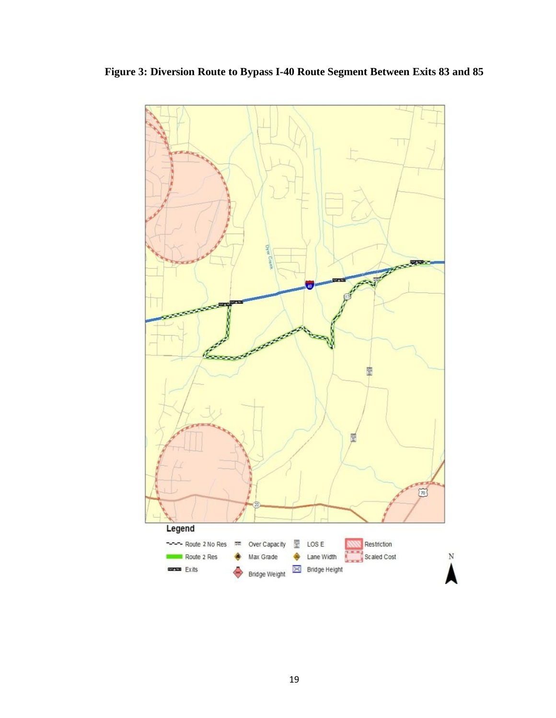

**Figure 3: Diversion Route to Bypass I-40 Route Segment Between Exits 83 and 85**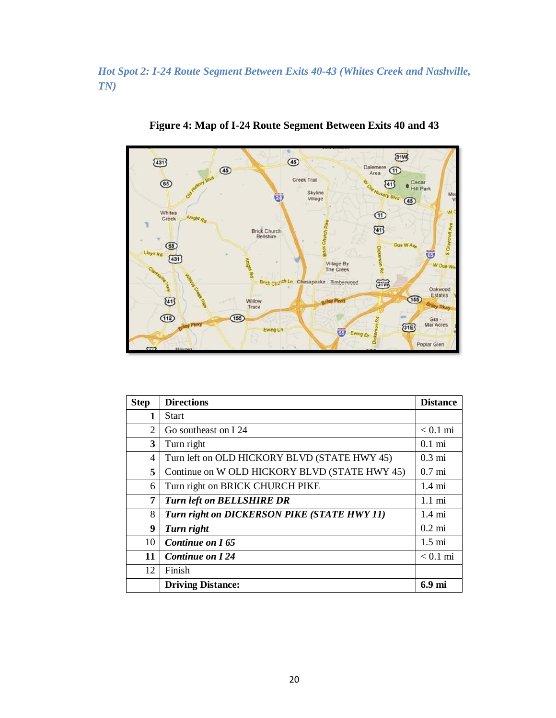*Hot Spot 2: I-24 Route Segment Between Exits 40-43 (Whites Creek and Nashville, TN)*



**Figure 4: Map of I-24 Route Segment Between Exits 40 and 43**

| <b>Step</b> | <b>Directions</b>                             | <b>Distance</b>    |
|-------------|-----------------------------------------------|--------------------|
| 1           | <b>Start</b>                                  |                    |
| 2           | Go southeast on I 24                          | $< 0.1 \text{ mi}$ |
| 3           | Turn right                                    | $0.1 \text{ mi}$   |
| 4           | Turn left on OLD HICKORY BLVD (STATE HWY 45)  | $0.3 \text{ mi}$   |
| 5           | Continue on W OLD HICKORY BLVD (STATE HWY 45) | $0.7 \text{ mi}$   |
| 6           | Turn right on BRICK CHURCH PIKE               | $1.4 \text{ mi}$   |
| 7           | <b>Turn left on BELLSHIRE DR</b>              | $1.1 \text{ mi}$   |
| 8           | Turn right on DICKERSON PIKE (STATE HWY 11)   | $1.4 \text{ mi}$   |
| 9           | Turn right                                    | $0.2$ mi           |
| 10          | Continue on I65                               | $1.5 \text{ mi}$   |
| 11          | Continue on I 24                              | $< 0.1$ mi         |
| 12          | Finish                                        |                    |
|             | <b>Driving Distance:</b>                      | 6.9 mi             |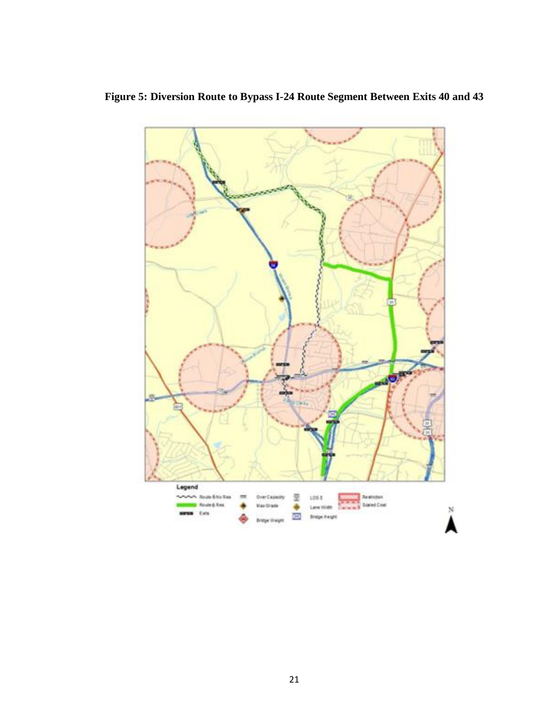

**Figure 5: Diversion Route to Bypass I-24 Route Segment Between Exits 40 and 43**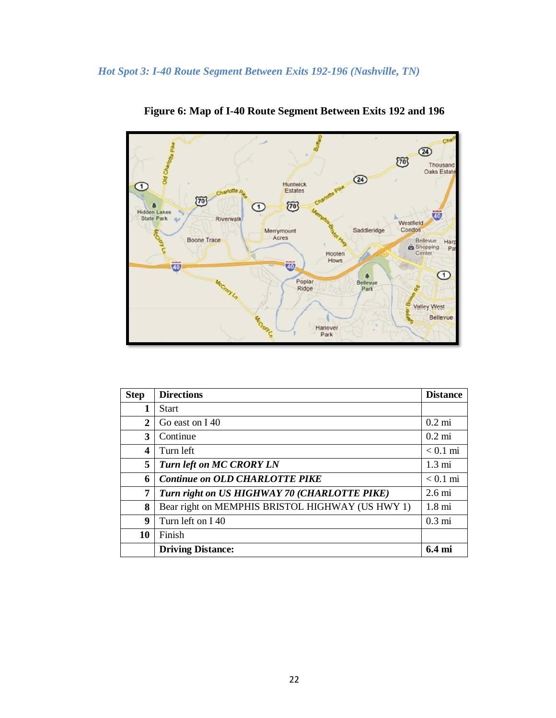

**Figure 6: Map of I-40 Route Segment Between Exits 192 and 196**

| <b>Step</b> | <b>Directions</b>                                | <b>Distance</b>   |
|-------------|--------------------------------------------------|-------------------|
| 1           | <b>Start</b>                                     |                   |
| 2           | Go east on I 40                                  | $0.2 \text{ mi}$  |
| 3           | Continue                                         | $0.2 \text{ mi}$  |
| 4           | Turn left                                        | $< 0.1$ mi        |
| 5           | <b>Turn left on MC CRORY LN</b>                  | $1.3 \text{ mi}$  |
| 6           | <b>Continue on OLD CHARLOTTE PIKE</b>            | $< 0.1$ mi        |
| 7           | Turn right on US HIGHWAY 70 (CHARLOTTE PIKE)     | $2.6 \text{ mi}$  |
| 8           | Bear right on MEMPHIS BRISTOL HIGHWAY (US HWY 1) | $1.8 \text{ mi}$  |
| 9           | Turn left on I 40                                | $0.3 \text{ mi}$  |
| 10          | Finish                                           |                   |
|             | <b>Driving Distance:</b>                         | 6.4 <sub>mi</sub> |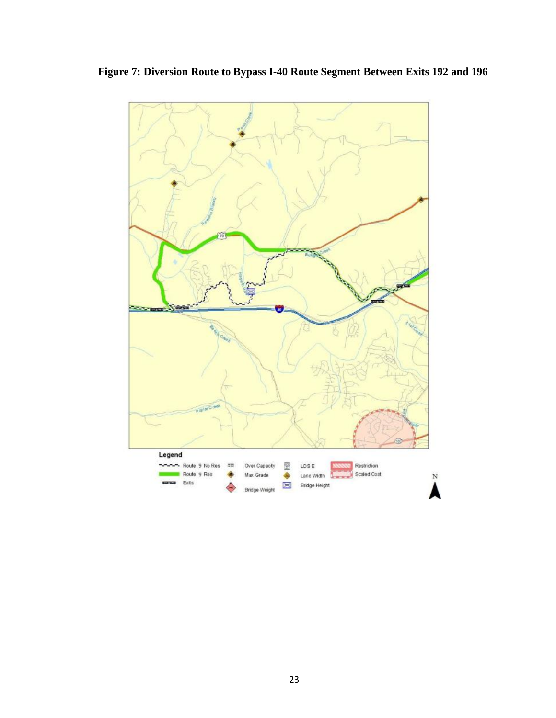

**Figure 7: Diversion Route to Bypass I-40 Route Segment Between Exits 192 and 196**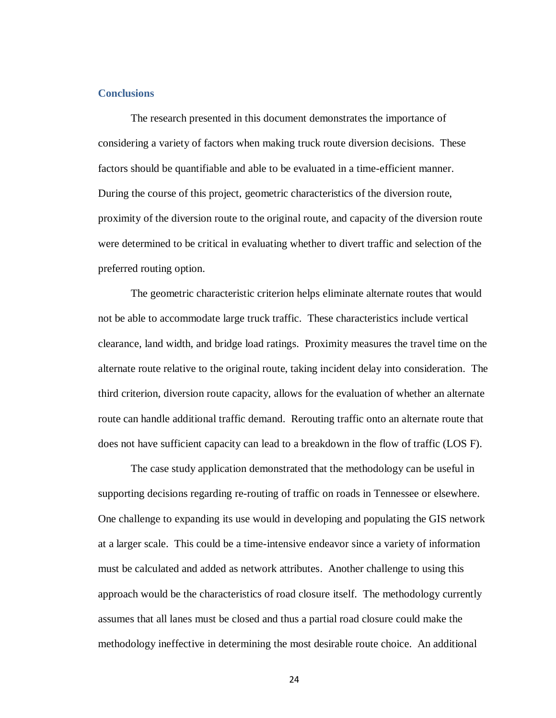#### **Conclusions**

The research presented in this document demonstrates the importance of considering a variety of factors when making truck route diversion decisions. These factors should be quantifiable and able to be evaluated in a time-efficient manner. During the course of this project, geometric characteristics of the diversion route, proximity of the diversion route to the original route, and capacity of the diversion route were determined to be critical in evaluating whether to divert traffic and selection of the preferred routing option.

The geometric characteristic criterion helps eliminate alternate routes that would not be able to accommodate large truck traffic. These characteristics include vertical clearance, land width, and bridge load ratings. Proximity measures the travel time on the alternate route relative to the original route, taking incident delay into consideration. The third criterion, diversion route capacity, allows for the evaluation of whether an alternate route can handle additional traffic demand. Rerouting traffic onto an alternate route that does not have sufficient capacity can lead to a breakdown in the flow of traffic (LOS F).

The case study application demonstrated that the methodology can be useful in supporting decisions regarding re-routing of traffic on roads in Tennessee or elsewhere. One challenge to expanding its use would in developing and populating the GIS network at a larger scale. This could be a time-intensive endeavor since a variety of information must be calculated and added as network attributes. Another challenge to using this approach would be the characteristics of road closure itself. The methodology currently assumes that all lanes must be closed and thus a partial road closure could make the methodology ineffective in determining the most desirable route choice. An additional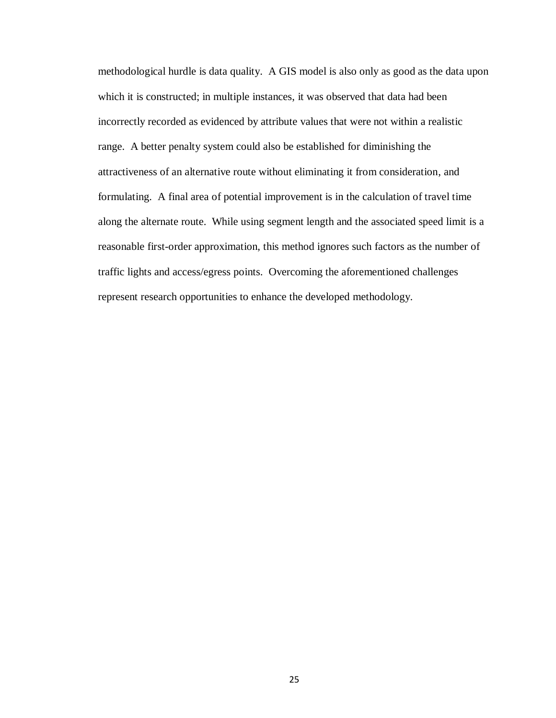methodological hurdle is data quality. A GIS model is also only as good as the data upon which it is constructed; in multiple instances, it was observed that data had been incorrectly recorded as evidenced by attribute values that were not within a realistic range. A better penalty system could also be established for diminishing the attractiveness of an alternative route without eliminating it from consideration, and formulating. A final area of potential improvement is in the calculation of travel time along the alternate route. While using segment length and the associated speed limit is a reasonable first-order approximation, this method ignores such factors as the number of traffic lights and access/egress points. Overcoming the aforementioned challenges represent research opportunities to enhance the developed methodology.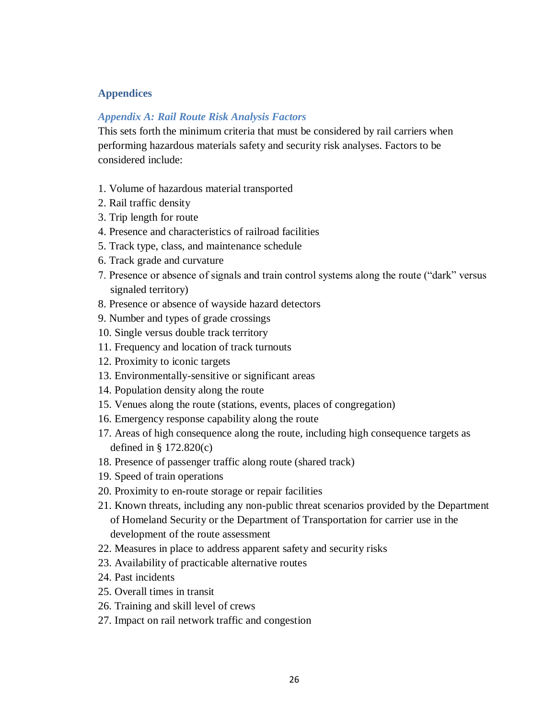## **Appendices**

### *Appendix A: Rail Route Risk Analysis Factors*

This sets forth the minimum criteria that must be considered by rail carriers when performing hazardous materials safety and security risk analyses. Factors to be considered include:

- 1. Volume of hazardous material transported
- 2. Rail traffic density
- 3. Trip length for route
- 4. Presence and characteristics of railroad facilities
- 5. Track type, class, and maintenance schedule
- 6. Track grade and curvature
- 7. Presence or absence of signals and train control systems along the route ("dark" versus signaled territory)
- 8. Presence or absence of wayside hazard detectors
- 9. Number and types of grade crossings
- 10. Single versus double track territory
- 11. Frequency and location of track turnouts
- 12. Proximity to iconic targets
- 13. Environmentally-sensitive or significant areas
- 14. Population density along the route
- 15. Venues along the route (stations, events, places of congregation)
- 16. Emergency response capability along the route
- 17. Areas of high consequence along the route, including high consequence targets as defined in § 172.820(c)
- 18. Presence of passenger traffic along route (shared track)
- 19. Speed of train operations
- 20. Proximity to en-route storage or repair facilities
- 21. Known threats, including any non-public threat scenarios provided by the Department of Homeland Security or the Department of Transportation for carrier use in the development of the route assessment
- 22. Measures in place to address apparent safety and security risks
- 23. Availability of practicable alternative routes
- 24. Past incidents
- 25. Overall times in transit
- 26. Training and skill level of crews
- 27. Impact on rail network traffic and congestion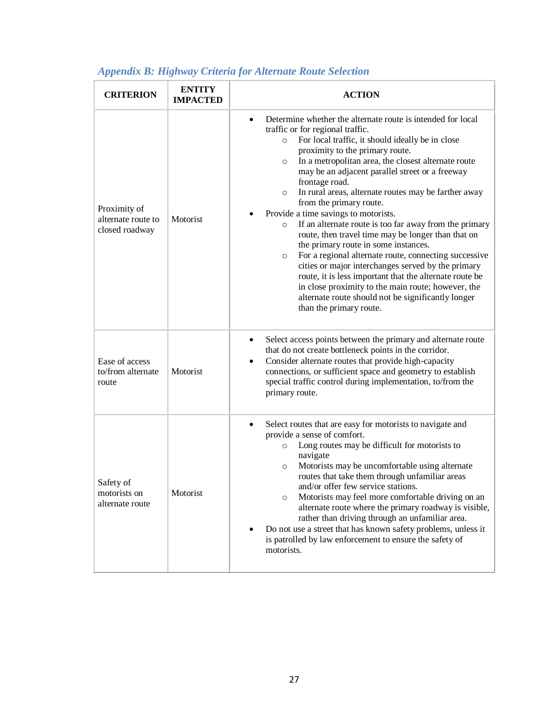| <b>CRITERION</b>                                     | <b>ENTITY</b><br><b>IMPACTED</b> | <b>ACTION</b>                                                                                                                                                                                                                                                                                                                                                                                                                                                                                                                                                                                                                                                                                                                                                                                                                                                                                                                                                                              |
|------------------------------------------------------|----------------------------------|--------------------------------------------------------------------------------------------------------------------------------------------------------------------------------------------------------------------------------------------------------------------------------------------------------------------------------------------------------------------------------------------------------------------------------------------------------------------------------------------------------------------------------------------------------------------------------------------------------------------------------------------------------------------------------------------------------------------------------------------------------------------------------------------------------------------------------------------------------------------------------------------------------------------------------------------------------------------------------------------|
| Proximity of<br>alternate route to<br>closed roadway | Motorist                         | Determine whether the alternate route is intended for local<br>$\bullet$<br>traffic or for regional traffic.<br>For local traffic, it should ideally be in close<br>$\circ$<br>proximity to the primary route.<br>In a metropolitan area, the closest alternate route<br>$\circ$<br>may be an adjacent parallel street or a freeway<br>frontage road.<br>In rural areas, alternate routes may be farther away<br>$\circ$<br>from the primary route.<br>Provide a time savings to motorists.<br>If an alternate route is too far away from the primary<br>$\circ$<br>route, then travel time may be longer than that on<br>the primary route in some instances.<br>For a regional alternate route, connecting successive<br>$\circ$<br>cities or major interchanges served by the primary<br>route, it is less important that the alternate route be<br>in close proximity to the main route; however, the<br>alternate route should not be significantly longer<br>than the primary route. |
| Ease of access<br>to/from alternate<br>route         | Motorist                         | Select access points between the primary and alternate route<br>٠<br>that do not create bottleneck points in the corridor.<br>Consider alternate routes that provide high-capacity<br>$\bullet$<br>connections, or sufficient space and geometry to establish<br>special traffic control during implementation, to/from the<br>primary route.                                                                                                                                                                                                                                                                                                                                                                                                                                                                                                                                                                                                                                              |
| Safety of<br>motorists on<br>alternate route         | Motorist                         | Select routes that are easy for motorists to navigate and<br>$\bullet$<br>provide a sense of comfort.<br>Long routes may be difficult for motorists to<br>$\circ$<br>navigate<br>Motorists may be uncomfortable using alternate<br>$\circ$<br>routes that take them through unfamiliar areas<br>and/or offer few service stations.<br>Motorists may feel more comfortable driving on an<br>$\circ$<br>alternate route where the primary roadway is visible,<br>rather than driving through an unfamiliar area.<br>Do not use a street that has known safety problems, unless it<br>is patrolled by law enforcement to ensure the safety of<br>motorists.                                                                                                                                                                                                                                                                                                                                   |

# *Appendix B: Highway Criteria for Alternate Route Selection*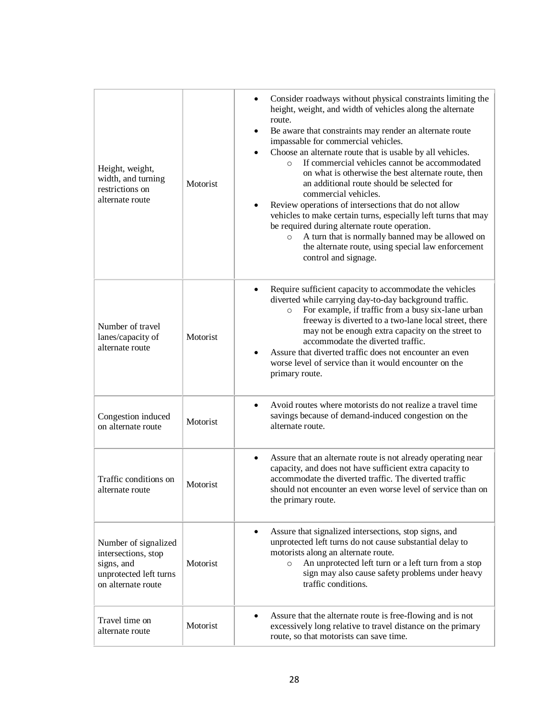| Height, weight,<br>width, and turning<br>restrictions on<br>alternate route                               | Motorist | Consider roadways without physical constraints limiting the<br>height, weight, and width of vehicles along the alternate<br>route.<br>Be aware that constraints may render an alternate route<br>impassable for commercial vehicles.<br>Choose an alternate route that is usable by all vehicles.<br>If commercial vehicles cannot be accommodated<br>$\circ$<br>on what is otherwise the best alternate route, then<br>an additional route should be selected for<br>commercial vehicles.<br>Review operations of intersections that do not allow<br>vehicles to make certain turns, especially left turns that may<br>be required during alternate route operation.<br>A turn that is normally banned may be allowed on<br>$\circ$<br>the alternate route, using special law enforcement<br>control and signage. |
|-----------------------------------------------------------------------------------------------------------|----------|--------------------------------------------------------------------------------------------------------------------------------------------------------------------------------------------------------------------------------------------------------------------------------------------------------------------------------------------------------------------------------------------------------------------------------------------------------------------------------------------------------------------------------------------------------------------------------------------------------------------------------------------------------------------------------------------------------------------------------------------------------------------------------------------------------------------|
| Number of travel<br>lanes/capacity of<br>alternate route                                                  | Motorist | Require sufficient capacity to accommodate the vehicles<br>diverted while carrying day-to-day background traffic.<br>For example, if traffic from a busy six-lane urban<br>$\circ$<br>freeway is diverted to a two-lane local street, there<br>may not be enough extra capacity on the street to<br>accommodate the diverted traffic.<br>Assure that diverted traffic does not encounter an even<br>worse level of service than it would encounter on the<br>primary route.                                                                                                                                                                                                                                                                                                                                        |
| Congestion induced<br>on alternate route                                                                  | Motorist | Avoid routes where motorists do not realize a travel time<br>savings because of demand-induced congestion on the<br>alternate route.                                                                                                                                                                                                                                                                                                                                                                                                                                                                                                                                                                                                                                                                               |
| Traffic conditions on<br>alternate route                                                                  | Motorist | Assure that an alternate route is not already operating near<br>$\bullet$<br>capacity, and does not have sufficient extra capacity to<br>accommodate the diverted traffic. The diverted traffic<br>should not encounter an even worse level of service than on<br>the primary route.                                                                                                                                                                                                                                                                                                                                                                                                                                                                                                                               |
| Number of signalized<br>intersections, stop<br>signs, and<br>unprotected left turns<br>on alternate route | Motorist | Assure that signalized intersections, stop signs, and<br>٠<br>unprotected left turns do not cause substantial delay to<br>motorists along an alternate route.<br>An unprotected left turn or a left turn from a stop<br>$\circ$<br>sign may also cause safety problems under heavy<br>traffic conditions.                                                                                                                                                                                                                                                                                                                                                                                                                                                                                                          |
| Travel time on<br>alternate route                                                                         | Motorist | Assure that the alternate route is free-flowing and is not<br>excessively long relative to travel distance on the primary<br>route, so that motorists can save time.                                                                                                                                                                                                                                                                                                                                                                                                                                                                                                                                                                                                                                               |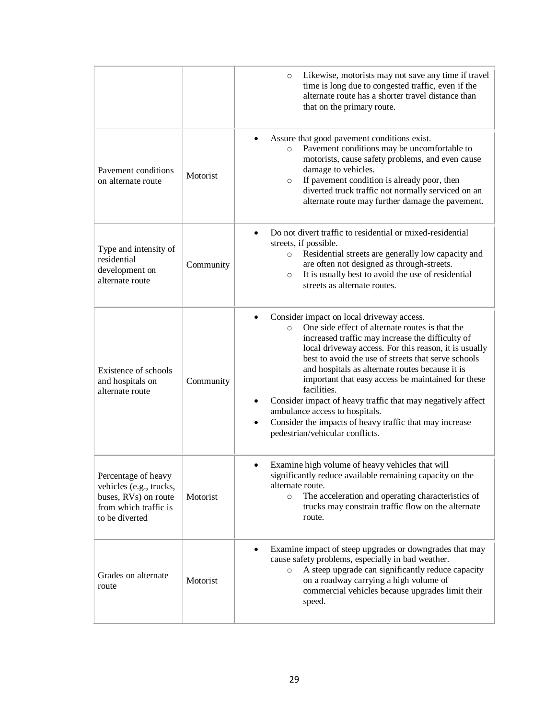|                                                                                                                   |           | Likewise, motorists may not save any time if travel<br>$\circ$<br>time is long due to congested traffic, even if the<br>alternate route has a shorter travel distance than<br>that on the primary route.                                                                                                                                                                                                                                                                                                                                                                                                        |
|-------------------------------------------------------------------------------------------------------------------|-----------|-----------------------------------------------------------------------------------------------------------------------------------------------------------------------------------------------------------------------------------------------------------------------------------------------------------------------------------------------------------------------------------------------------------------------------------------------------------------------------------------------------------------------------------------------------------------------------------------------------------------|
| Payement conditions<br>on alternate route                                                                         | Motorist  | Assure that good pavement conditions exist.<br>Pavement conditions may be uncomfortable to<br>$\circ$<br>motorists, cause safety problems, and even cause<br>damage to vehicles.<br>If pavement condition is already poor, then<br>$\circ$<br>diverted truck traffic not normally serviced on an<br>alternate route may further damage the pavement.                                                                                                                                                                                                                                                            |
| Type and intensity of<br>residential<br>development on<br>alternate route                                         | Community | Do not divert traffic to residential or mixed-residential<br>$\bullet$<br>streets, if possible.<br>Residential streets are generally low capacity and<br>$\circ$<br>are often not designed as through-streets.<br>It is usually best to avoid the use of residential<br>$\circ$<br>streets as alternate routes.                                                                                                                                                                                                                                                                                                 |
| Existence of schools<br>and hospitals on<br>alternate route                                                       | Community | Consider impact on local driveway access.<br>One side effect of alternate routes is that the<br>$\circ$<br>increased traffic may increase the difficulty of<br>local driveway access. For this reason, it is usually<br>best to avoid the use of streets that serve schools<br>and hospitals as alternate routes because it is<br>important that easy access be maintained for these<br>facilities.<br>Consider impact of heavy traffic that may negatively affect<br>ambulance access to hospitals.<br>Consider the impacts of heavy traffic that may increase<br>$\bullet$<br>pedestrian/vehicular conflicts. |
| Percentage of heavy<br>vehicles (e.g., trucks,<br>buses, RVs) on route<br>from which traffic is<br>to be diverted | Motorist  | Examine high volume of heavy vehicles that will<br>٠<br>significantly reduce available remaining capacity on the<br>alternate route.<br>The acceleration and operating characteristics of<br>$\circ$<br>trucks may constrain traffic flow on the alternate<br>route.                                                                                                                                                                                                                                                                                                                                            |
| Grades on alternate<br>route                                                                                      | Motorist  | Examine impact of steep upgrades or downgrades that may<br>$\bullet$<br>cause safety problems, especially in bad weather.<br>A steep upgrade can significantly reduce capacity<br>$\circ$<br>on a roadway carrying a high volume of<br>commercial vehicles because upgrades limit their<br>speed.                                                                                                                                                                                                                                                                                                               |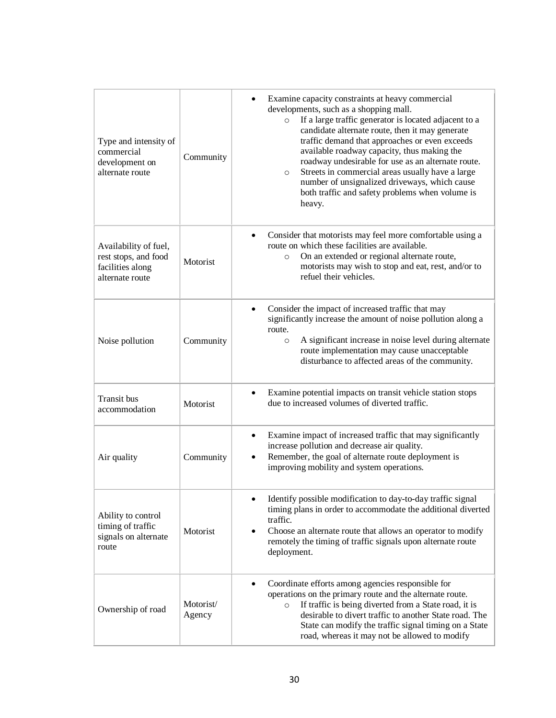| Type and intensity of<br>commercial<br>development on<br>alternate route             | Community           | Examine capacity constraints at heavy commercial<br>$\bullet$<br>developments, such as a shopping mall.<br>If a large traffic generator is located adjacent to a<br>$\circ$<br>candidate alternate route, then it may generate<br>traffic demand that approaches or even exceeds<br>available roadway capacity, thus making the<br>roadway undesirable for use as an alternate route.<br>Streets in commercial areas usually have a large<br>$\circ$<br>number of unsignalized driveways, which cause<br>both traffic and safety problems when volume is<br>heavy. |
|--------------------------------------------------------------------------------------|---------------------|--------------------------------------------------------------------------------------------------------------------------------------------------------------------------------------------------------------------------------------------------------------------------------------------------------------------------------------------------------------------------------------------------------------------------------------------------------------------------------------------------------------------------------------------------------------------|
| Availability of fuel,<br>rest stops, and food<br>facilities along<br>alternate route | Motorist            | Consider that motorists may feel more comfortable using a<br>$\bullet$<br>route on which these facilities are available.<br>On an extended or regional alternate route,<br>$\circ$<br>motorists may wish to stop and eat, rest, and/or to<br>refuel their vehicles.                                                                                                                                                                                                                                                                                                |
| Noise pollution                                                                      | Community           | Consider the impact of increased traffic that may<br>$\bullet$<br>significantly increase the amount of noise pollution along a<br>route.<br>A significant increase in noise level during alternate<br>$\circ$<br>route implementation may cause unacceptable<br>disturbance to affected areas of the community.                                                                                                                                                                                                                                                    |
| Transit bus<br>accommodation                                                         | Motorist            | Examine potential impacts on transit vehicle station stops<br>$\bullet$<br>due to increased volumes of diverted traffic.                                                                                                                                                                                                                                                                                                                                                                                                                                           |
| Air quality                                                                          | Community           | Examine impact of increased traffic that may significantly<br>$\bullet$<br>increase pollution and decrease air quality.<br>Remember, the goal of alternate route deployment is<br>$\bullet$<br>improving mobility and system operations.                                                                                                                                                                                                                                                                                                                           |
| Ability to control<br>timing of traffic<br>signals on alternate<br>route             | Motorist            | Identify possible modification to day-to-day traffic signal<br>٠<br>timing plans in order to accommodate the additional diverted<br>traffic.<br>Choose an alternate route that allows an operator to modify<br>٠<br>remotely the timing of traffic signals upon alternate route<br>deployment.                                                                                                                                                                                                                                                                     |
| Ownership of road                                                                    | Motorist/<br>Agency | Coordinate efforts among agencies responsible for<br>$\bullet$<br>operations on the primary route and the alternate route.<br>If traffic is being diverted from a State road, it is<br>$\circ$<br>desirable to divert traffic to another State road. The<br>State can modify the traffic signal timing on a State<br>road, whereas it may not be allowed to modify                                                                                                                                                                                                 |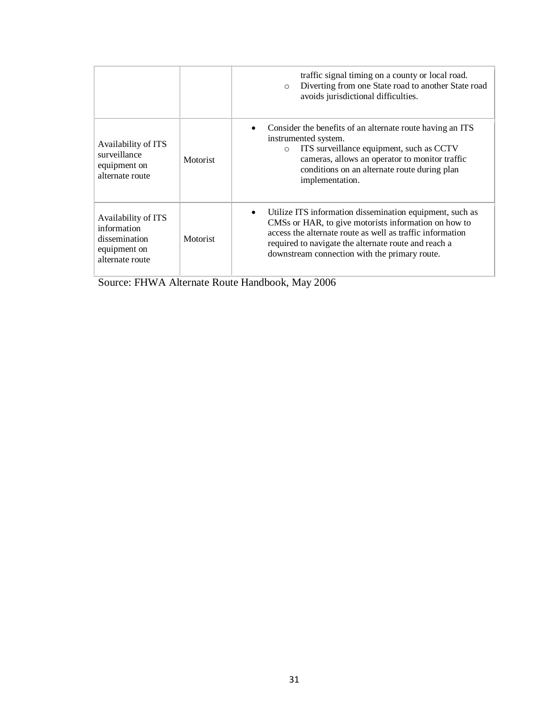|                                                                                        |          | traffic signal timing on a county or local road.<br>Diverting from one State road to another State road<br>$\circ$<br>avoids jurisdictional difficulties.                                                                                                                              |
|----------------------------------------------------------------------------------------|----------|----------------------------------------------------------------------------------------------------------------------------------------------------------------------------------------------------------------------------------------------------------------------------------------|
| Availability of ITS<br>surveillance<br>equipment on<br>alternate route                 | Motorist | Consider the benefits of an alternate route having an ITS<br>instrumented system.<br>ITS surveillance equipment, such as CCTV<br>$\circ$<br>cameras, allows an operator to monitor traffic<br>conditions on an alternate route during plan<br>implementation.                          |
| Availability of ITS<br>information<br>dissemination<br>equipment on<br>alternate route | Motorist | Utilize ITS information dissemination equipment, such as<br>CMSs or HAR, to give motorists information on how to<br>access the alternate route as well as traffic information<br>required to navigate the alternate route and reach a<br>downstream connection with the primary route. |

Source: FHWA Alternate Route Handbook, May 2006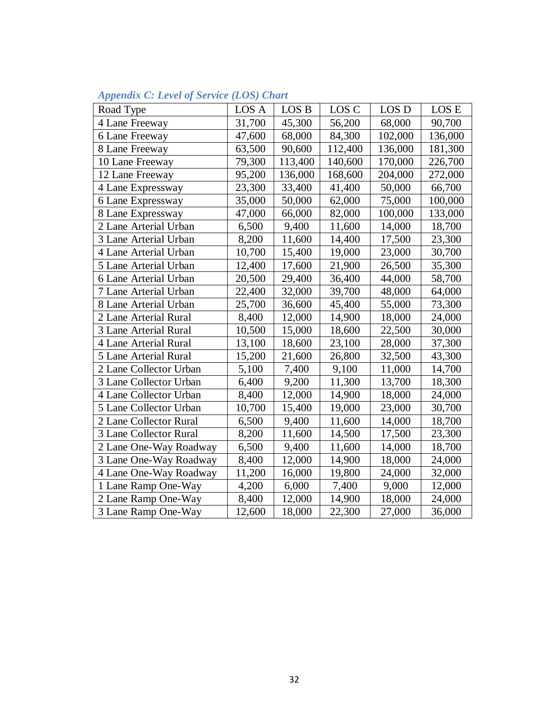| Road Type              | LOS A  | LOS B   | LOS C   | LOS D   | LOS E   |
|------------------------|--------|---------|---------|---------|---------|
| 4 Lane Freeway         | 31,700 | 45,300  | 56,200  | 68,000  | 90,700  |
| 6 Lane Freeway         | 47,600 | 68,000  | 84,300  | 102,000 | 136,000 |
| 8 Lane Freeway         | 63,500 | 90,600  | 112,400 | 136,000 | 181,300 |
| 10 Lane Freeway        | 79,300 | 113,400 | 140,600 | 170,000 | 226,700 |
| 12 Lane Freeway        | 95,200 | 136,000 | 168,600 | 204,000 | 272,000 |
| 4 Lane Expressway      | 23,300 | 33,400  | 41,400  | 50,000  | 66,700  |
| 6 Lane Expressway      | 35,000 | 50,000  | 62,000  | 75,000  | 100,000 |
| 8 Lane Expressway      | 47,000 | 66,000  | 82,000  | 100,000 | 133,000 |
| 2 Lane Arterial Urban  | 6,500  | 9,400   | 11,600  | 14,000  | 18,700  |
| 3 Lane Arterial Urban  | 8,200  | 11,600  | 14,400  | 17,500  | 23,300  |
| 4 Lane Arterial Urban  | 10,700 | 15,400  | 19,000  | 23,000  | 30,700  |
| 5 Lane Arterial Urban  | 12,400 | 17,600  | 21,900  | 26,500  | 35,300  |
| 6 Lane Arterial Urban  | 20,500 | 29,400  | 36,400  | 44,000  | 58,700  |
| 7 Lane Arterial Urban  | 22,400 | 32,000  | 39,700  | 48,000  | 64,000  |
| 8 Lane Arterial Urban  | 25,700 | 36,600  | 45,400  | 55,000  | 73,300  |
| 2 Lane Arterial Rural  | 8,400  | 12,000  | 14,900  | 18,000  | 24,000  |
| 3 Lane Arterial Rural  | 10,500 | 15,000  | 18,600  | 22,500  | 30,000  |
| 4 Lane Arterial Rural  | 13,100 | 18,600  | 23,100  | 28,000  | 37,300  |
| 5 Lane Arterial Rural  | 15,200 | 21,600  | 26,800  | 32,500  | 43,300  |
| 2 Lane Collector Urban | 5,100  | 7,400   | 9,100   | 11,000  | 14,700  |
| 3 Lane Collector Urban | 6,400  | 9,200   | 11,300  | 13,700  | 18,300  |
| 4 Lane Collector Urban | 8,400  | 12,000  | 14,900  | 18,000  | 24,000  |
| 5 Lane Collector Urban | 10,700 | 15,400  | 19,000  | 23,000  | 30,700  |
| 2 Lane Collector Rural | 6,500  | 9,400   | 11,600  | 14,000  | 18,700  |
| 3 Lane Collector Rural | 8,200  | 11,600  | 14,500  | 17,500  | 23,300  |
| 2 Lane One-Way Roadway | 6,500  | 9,400   | 11,600  | 14,000  | 18,700  |
| 3 Lane One-Way Roadway | 8,400  | 12,000  | 14,900  | 18,000  | 24,000  |
| 4 Lane One-Way Roadway | 11,200 | 16,000  | 19,800  | 24,000  | 32,000  |
| 1 Lane Ramp One-Way    | 4,200  | 6,000   | 7,400   | 9,000   | 12,000  |
| 2 Lane Ramp One-Way    | 8,400  | 12,000  | 14,900  | 18,000  | 24,000  |
| 3 Lane Ramp One-Way    | 12,600 | 18,000  | 22,300  | 27,000  | 36,000  |

## *Appendix C: Level of Service (LOS) Chart*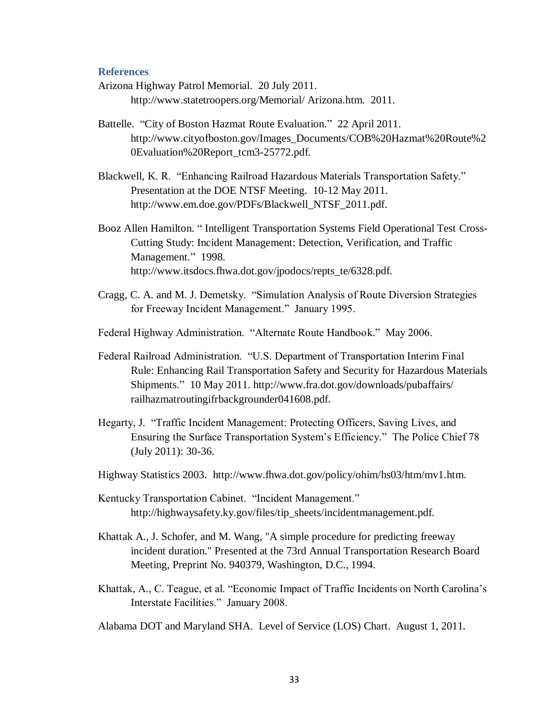#### **References**

- Arizona Highway Patrol Memorial. 20 July 2011. http://www.statetroopers.org/Memorial/ Arizona.htm. 2011.
- Battelle. "City of Boston Hazmat Route Evaluation."22 April 2011. http://www.cityofboston.gov/Images\_Documents/COB%20Hazmat%20Route%2 0Evaluation%20Report\_tcm3-25772.pdf.
- Blackwell, K. R. "Enhancing Railroad Hazardous Materials Transportation Safety." Presentation at the DOE NTSF Meeting. 10-12 May 2011. http://www.em.doe.gov/PDFs/Blackwell\_NTSF\_2011.pdf.
- Booz Allen Hamilton. " Intelligent Transportation Systems Field Operational Test Cross-Cutting Study: Incident Management: Detection, Verification, and Traffic Management." 1998. http://www.itsdocs.fhwa.dot.gov/jpodocs/repts\_te/6328.pdf.
- Cragg, C. A. and M. J. Demetsky. "Simulation Analysis of Route Diversion Strategies for Freeway Incident Management." January 1995.
- Federal Highway Administration. "Alternate Route Handbook." May 2006.
- Federal Railroad Administration. "U.S. Department of Transportation Interim Final Rule: Enhancing Rail Transportation Safety and Security for Hazardous Materials Shipments." 10 May 2011. http://www.fra.dot.gov/downloads/pubaffairs/ railhazmatroutingifrbackgrounder041608.pdf.
- Hegarty, J. "Traffic Incident Management: Protecting Officers, Saving Lives, and Ensuring the Surface Transportation System's Efficiency." The Police Chief 78 (July 2011): 30-36.
- Highway Statistics 2003. http://www.fhwa.dot.gov/policy/ohim/hs03/htm/mv1.htm.
- Kentucky Transportation Cabinet. "Incident Management." http://highwaysafety.ky.gov/files/tip\_sheets/incidentmanagement.pdf.
- Khattak A., J. Schofer, and M. Wang, "A simple procedure for predicting freeway incident duration." Presented at the 73rd Annual Transportation Research Board Meeting, Preprint No. 940379, Washington, D.C., 1994.
- Khattak, A., C. Teague, et al. "Economic Impact of Traffic Incidents on North Carolina's Interstate Facilities." January 2008.

Alabama DOT and Maryland SHA. Level of Service (LOS) Chart. August 1, 2011.